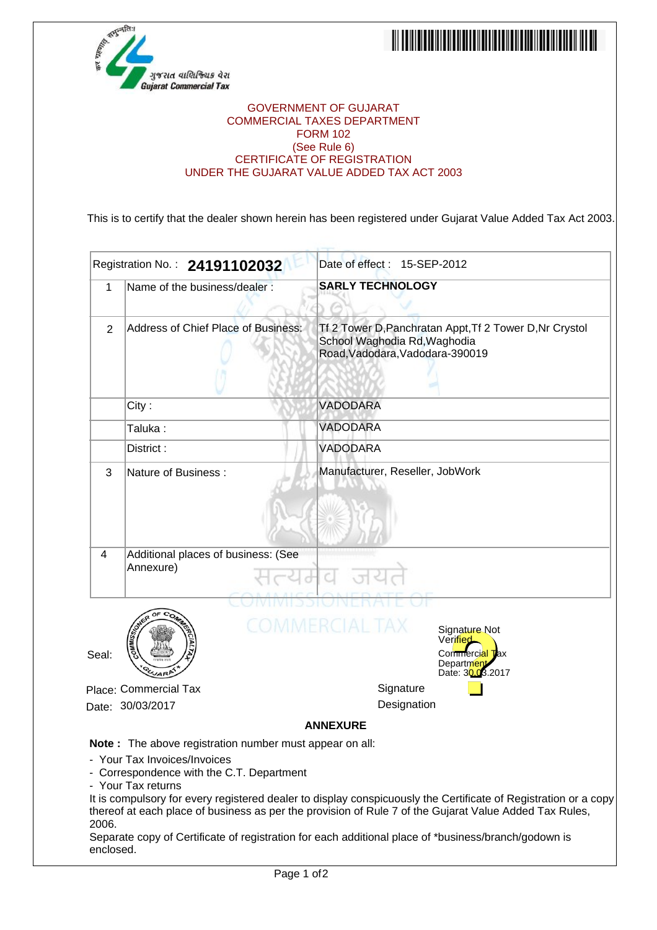



## GOVERNMENT OF GUJARAT COMMERCIAL TAXES DEPARTMENT FORM 102 (See Rule 6) CERTIFICATE OF REGISTRATION UNDER THE GUJARAT VALUE ADDED TAX ACT 2003

This is to certify that the dealer shown herein has been registered under Gujarat Value Added Tax Act 2003.

|                    | Registration No.: 24191102032                                                                                                                                     | Date of effect: 15-SEP-2012                                                                                                                                                                                                                                                                                                       |
|--------------------|-------------------------------------------------------------------------------------------------------------------------------------------------------------------|-----------------------------------------------------------------------------------------------------------------------------------------------------------------------------------------------------------------------------------------------------------------------------------------------------------------------------------|
| 1                  | Name of the business/dealer:                                                                                                                                      | <b>SARLY TECHNOLOGY</b>                                                                                                                                                                                                                                                                                                           |
| 2                  | Address of Chief Place of Business:                                                                                                                               | Tf 2 Tower D, Panchratan Appt, Tf 2 Tower D, Nr Crystol<br>School Waghodia Rd, Waghodia<br>Road, Vadodara, Vadodara-390019                                                                                                                                                                                                        |
|                    | City:                                                                                                                                                             | VADODARA                                                                                                                                                                                                                                                                                                                          |
|                    | Taluka:                                                                                                                                                           | <b>VADODARA</b>                                                                                                                                                                                                                                                                                                                   |
|                    | District:                                                                                                                                                         | VADODARA                                                                                                                                                                                                                                                                                                                          |
| 3                  | Nature of Business:                                                                                                                                               | Manufacturer, Reseller, JobWork                                                                                                                                                                                                                                                                                                   |
| 4                  | Additional places of business: (See<br>Annexure)                                                                                                                  |                                                                                                                                                                                                                                                                                                                                   |
| Seal:              |                                                                                                                                                                   | AFRICIAL I A X<br>Signature Not<br>Verified<br>Commercial Tax<br>Department<br>Date: 30.03.2017                                                                                                                                                                                                                                   |
|                    | Place: Commercial Tax                                                                                                                                             | Signature                                                                                                                                                                                                                                                                                                                         |
|                    | Date: 30/03/2017                                                                                                                                                  | Designation                                                                                                                                                                                                                                                                                                                       |
|                    |                                                                                                                                                                   | <b>ANNEXURE</b>                                                                                                                                                                                                                                                                                                                   |
| 2006.<br>enclosed. | <b>Note:</b> The above registration number must appear on all:<br>- Your Tax Invoices/Invoices<br>- Correspondence with the C.T. Department<br>- Your Tax returns | It is compulsory for every registered dealer to display conspicuously the Certificate of Registration or a copy<br>thereof at each place of business as per the provision of Rule 7 of the Gujarat Value Added Tax Rules,<br>Separate copy of Certificate of registration for each additional place of *business/branch/godown is |
|                    | Page 1 of 2                                                                                                                                                       |                                                                                                                                                                                                                                                                                                                                   |